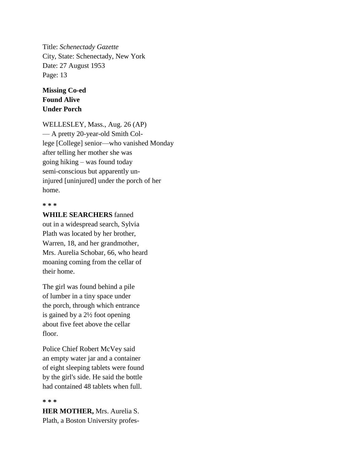Title: *Schenectady Gazette* City, State: Schenectady, New York Date: 27 August 1953 Page: 13

## **Missing Co-ed Found Alive Under Porch**

WELLESLEY, Mass., Aug. 26 (AP) — A pretty 20-year-old Smith College [College] senior—who vanished Monday after telling her mother she was going hiking – was found today semi-conscious but apparently uninjured [uninjured] under the porch of her home.

## **\* \* \***

**WHILE SEARCHERS** fanned out in a widespread search, Sylvia Plath was located by her brother, Warren, 18, and her grandmother, Mrs. Aurelia Schobar, 66, who heard moaning coming from the cellar of their home.

The girl was found behind a pile of lumber in a tiny space under the porch, through which entrance is gained by a 2½ foot opening about five feet above the cellar floor.

Police Chief Robert McVey said an empty water jar and a container of eight sleeping tablets were found by the girl's side. He said the bottle had contained 48 tablets when full.

## **\* \* \***

**HER MOTHER,** Mrs. Aurelia S. Plath, a Boston University profes